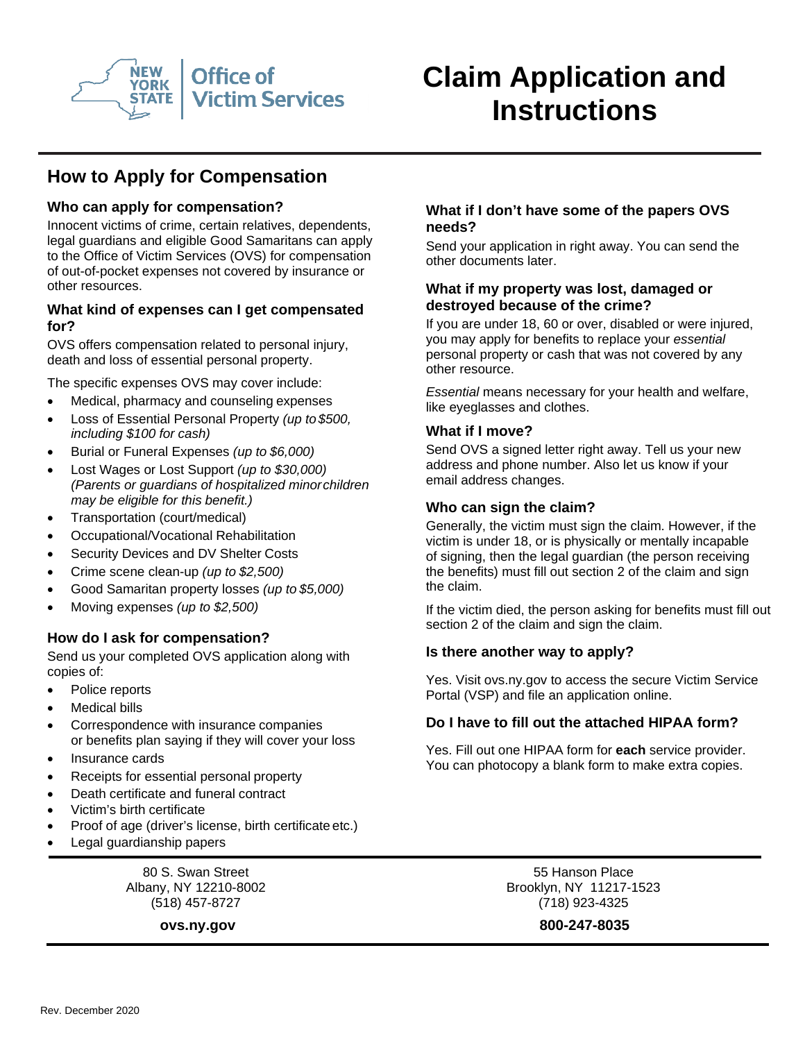

# **Claim Application and Instructions**

## **How to Apply for Compensation**

## **Who can apply for compensation?**

Innocent victims of crime, certain relatives, dependents, legal guardians and eligible Good Samaritans can apply to the Office of Victim Services (OVS) for compensation of out-of-pocket expenses not covered by insurance or other resources.

#### **What kind of expenses can I get compensated for?**

OVS offers compensation related to personal injury, death and loss of essential personal property.

The specific expenses OVS may cover include:

- Medical, pharmacy and counseling expenses
- Loss of Essential Personal Property *(up to\$500, including \$100 for cash)*
- Burial or Funeral Expenses *(up to \$6,000)*
- Lost Wages or Lost Support *(up to \$30,000) (Parents or guardians of hospitalized minorchildren may be eligible for this benefit.)*
- Transportation (court/medical)
- Occupational/Vocational Rehabilitation
- Security Devices and DV Shelter Costs
- Crime scene clean-up *(up to \$2,500)*
- Good Samaritan property losses *(up to \$5,000)*
- Moving expenses *(up to \$2,500)*

## **How do I ask for compensation?**

Send us your completed OVS application along with copies of:

- Police reports
- **Medical bills**
- Correspondence with insurance companies or benefits plan saying if they will cover your loss
- Insurance cards
- Receipts for essential personal property
- Death certificate and funeral contract
- Victim's birth certificate
- Proof of age (driver's license, birth certificate etc.)
- Legal guardianship papers

80 S. Swan Street Albany, NY 12210-8002 (518) 457-8727

#### **What if I don't have some of the papers OVS needs?**

Send your application in right away. You can send the other documents later.

#### **What if my property was lost, damaged or destroyed because of the crime?**

If you are under 18, 60 or over, disabled or were injured, you may apply for benefits to replace your *essential*  personal property or cash that was not covered by any other resource.

*Essential* means necessary for your health and welfare, like eyeglasses and clothes.

#### **What if I move?**

Send OVS a signed letter right away. Tell us your new address and phone number. Also let us know if your email address changes.

#### **Who can sign the claim?**

Generally, the victim must sign the claim. However, if the victim is under 18, or is physically or mentally incapable of signing, then the legal guardian (the person receiving the benefits) must fill out section 2 of the claim and sign the claim.

If the victim died, the person asking for benefits must fill out section 2 of the claim and sign the claim.

#### **Is there another way to apply?**

Yes. Visit ovs.ny.gov to access the secure Victim Service Portal (VSP) and file an application online.

#### **Do I have to fill out the attached HIPAA form?**

Yes. Fill out one HIPAA form for **each** service provider. You can photocopy a blank form to make extra copies.

> 55 Hanson Place Brooklyn, NY 11217-1523 (718) 923-4325

**ovs.ny.gov 800-247-8035**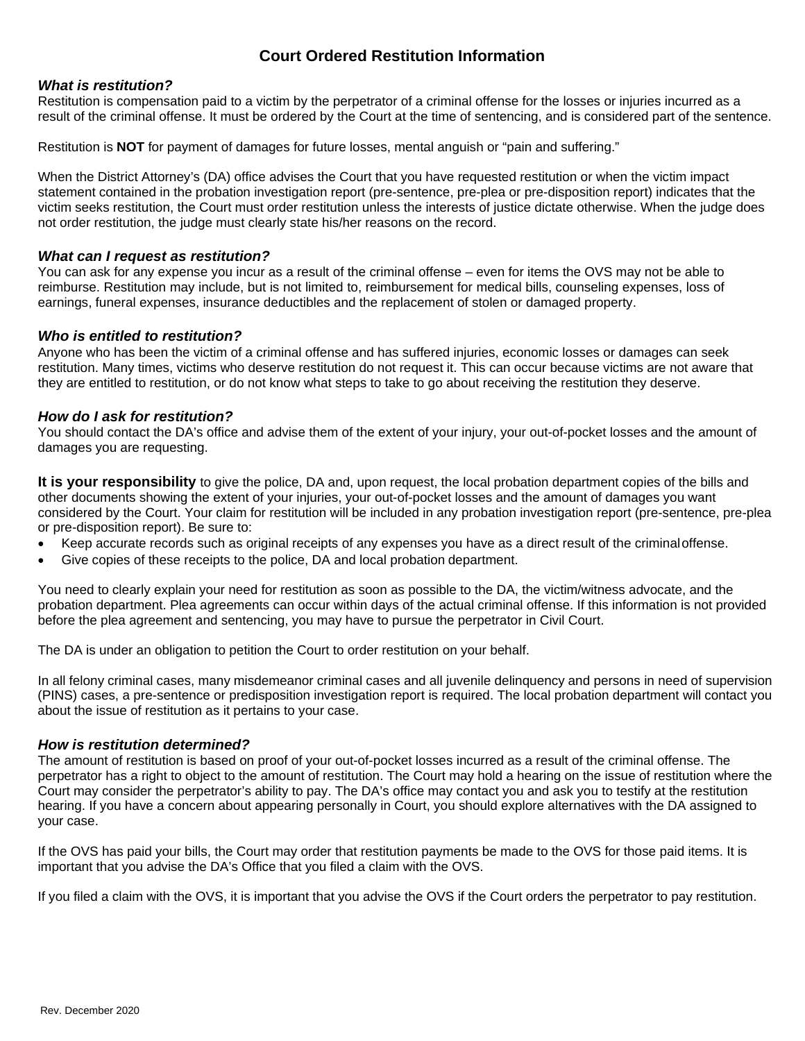## **Court Ordered Restitution Information**

#### *What is restitution?*

Restitution is compensation paid to a victim by the perpetrator of a criminal offense for the losses or injuries incurred as a result of the criminal offense. It must be ordered by the Court at the time of sentencing, and is considered part of the sentence.

Restitution is **NOT** for payment of damages for future losses, mental anguish or "pain and suffering."

When the District Attorney's (DA) office advises the Court that you have requested restitution or when the victim impact statement contained in the probation investigation report (pre-sentence, pre-plea or pre-disposition report) indicates that the victim seeks restitution, the Court must order restitution unless the interests of justice dictate otherwise. When the judge does not order restitution, the judge must clearly state his/her reasons on the record.

#### *What can I request as restitution?*

You can ask for any expense you incur as a result of the criminal offense – even for items the OVS may not be able to reimburse. Restitution may include, but is not limited to, reimbursement for medical bills, counseling expenses, loss of earnings, funeral expenses, insurance deductibles and the replacement of stolen or damaged property.

#### *Who is entitled to restitution?*

Anyone who has been the victim of a criminal offense and has suffered injuries, economic losses or damages can seek restitution. Many times, victims who deserve restitution do not request it. This can occur because victims are not aware that they are entitled to restitution, or do not know what steps to take to go about receiving the restitution they deserve.

#### *How do I ask for restitution?*

You should contact the DA's office and advise them of the extent of your injury, your out-of-pocket losses and the amount of damages you are requesting.

**It is your responsibility** to give the police, DA and, upon request, the local probation department copies of the bills and other documents showing the extent of your injuries, your out-of-pocket losses and the amount of damages you want considered by the Court. Your claim for restitution will be included in any probation investigation report (pre-sentence, pre-plea or pre-disposition report). Be sure to:

- Keep accurate records such as original receipts of any expenses you have as a direct result of the criminaloffense.
- Give copies of these receipts to the police, DA and local probation department.

You need to clearly explain your need for restitution as soon as possible to the DA, the victim/witness advocate, and the probation department. Plea agreements can occur within days of the actual criminal offense. If this information is not provided before the plea agreement and sentencing, you may have to pursue the perpetrator in Civil Court.

The DA is under an obligation to petition the Court to order restitution on your behalf.

In all felony criminal cases, many misdemeanor criminal cases and all juvenile delinquency and persons in need of supervision (PINS) cases, a pre-sentence or predisposition investigation report is required. The local probation department will contact you about the issue of restitution as it pertains to your case.

#### *How is restitution determined?*

The amount of restitution is based on proof of your out-of-pocket losses incurred as a result of the criminal offense. The perpetrator has a right to object to the amount of restitution. The Court may hold a hearing on the issue of restitution where the Court may consider the perpetrator's ability to pay. The DA's office may contact you and ask you to testify at the restitution hearing. If you have a concern about appearing personally in Court, you should explore alternatives with the DA assigned to your case.

If the OVS has paid your bills, the Court may order that restitution payments be made to the OVS for those paid items. It is important that you advise the DA's Office that you filed a claim with the OVS.

If you filed a claim with the OVS, it is important that you advise the OVS if the Court orders the perpetrator to pay restitution.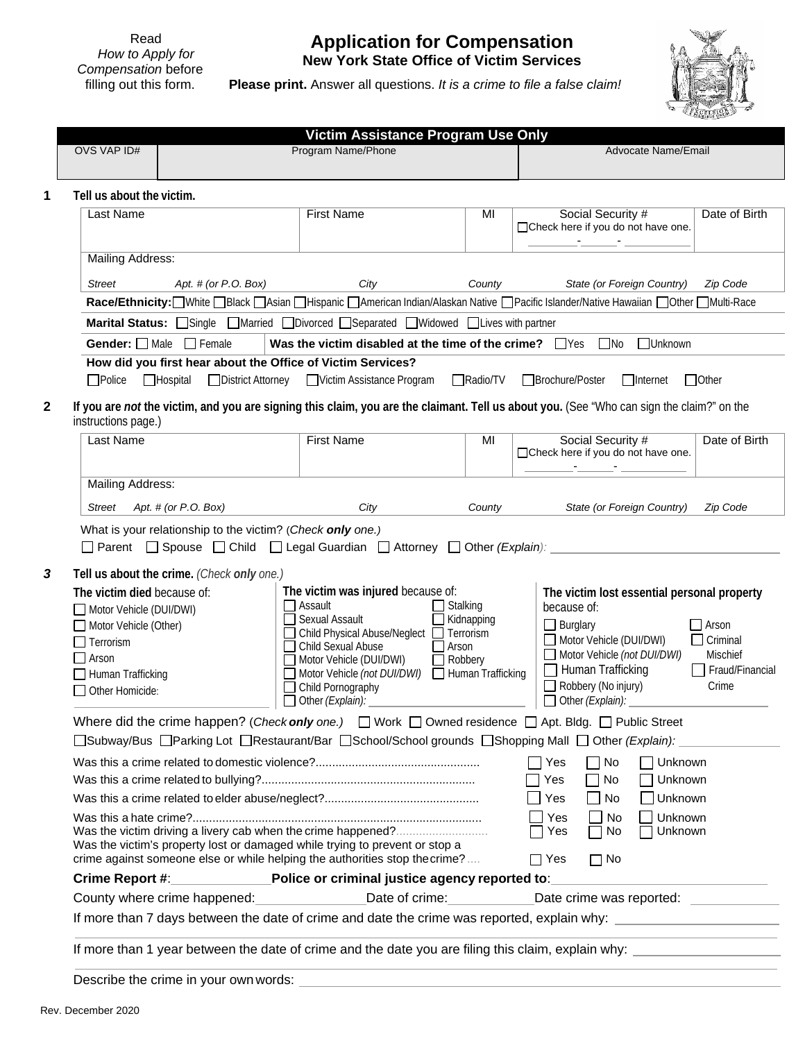Read *How to Apply for Compensation* before filling out this form.

## **Application for Compensation New York State Office of Victim Services**

**Please print.** Answer all questions. *It is a crime to file a false claim!*



| OVS VAP ID#                                                                                                                                                                                                                    | Victim Assistance Program Use Only<br>Program Name/Phone                                                                                                                                                                                                                 |                                                                 | Advocate Name/Email                                                                                                                                                                                                                                                                              |
|--------------------------------------------------------------------------------------------------------------------------------------------------------------------------------------------------------------------------------|--------------------------------------------------------------------------------------------------------------------------------------------------------------------------------------------------------------------------------------------------------------------------|-----------------------------------------------------------------|--------------------------------------------------------------------------------------------------------------------------------------------------------------------------------------------------------------------------------------------------------------------------------------------------|
|                                                                                                                                                                                                                                |                                                                                                                                                                                                                                                                          |                                                                 |                                                                                                                                                                                                                                                                                                  |
| Tell us about the victim.                                                                                                                                                                                                      |                                                                                                                                                                                                                                                                          |                                                                 |                                                                                                                                                                                                                                                                                                  |
| Last Name                                                                                                                                                                                                                      | <b>First Name</b>                                                                                                                                                                                                                                                        | MI                                                              | Social Security #<br>Date of Birth<br>□ Check here if you do not have one.<br><u> 1980 - 1980 - 1980 - 19</u>                                                                                                                                                                                    |
| <b>Mailing Address:</b>                                                                                                                                                                                                        |                                                                                                                                                                                                                                                                          |                                                                 |                                                                                                                                                                                                                                                                                                  |
| <b>Street</b><br>Apt. # (or $P. O. Box$ )                                                                                                                                                                                      | City                                                                                                                                                                                                                                                                     | County                                                          | State (or Foreign Country)<br>Zip Code                                                                                                                                                                                                                                                           |
|                                                                                                                                                                                                                                |                                                                                                                                                                                                                                                                          |                                                                 | Race/Ethnicity: UWhite Black   Asian   Hispanic   American Indian/Alaskan Native   Pacific Islander/Native Hawaiian   Other   Multi-Race                                                                                                                                                         |
|                                                                                                                                                                                                                                | <b>Marital Status:</b> Single Married Divorced Separated Widowed Lives with partner                                                                                                                                                                                      |                                                                 |                                                                                                                                                                                                                                                                                                  |
| Gender: Male Female                                                                                                                                                                                                            | Was the victim disabled at the time of the crime? $\Box$ Yes                                                                                                                                                                                                             |                                                                 | $\Box$ No<br>$\Box$ Unknown                                                                                                                                                                                                                                                                      |
| How did you first hear about the Office of Victim Services?                                                                                                                                                                    |                                                                                                                                                                                                                                                                          |                                                                 |                                                                                                                                                                                                                                                                                                  |
| $\Box$ Police<br>$\Box$ Hospital                                                                                                                                                                                               | □ District Attorney □ Victim Assistance Program                                                                                                                                                                                                                          | Radio/TV                                                        | □Brochure/Poster<br>$\Box$ Internet<br>$\Box$ Other                                                                                                                                                                                                                                              |
| instructions page.)                                                                                                                                                                                                            |                                                                                                                                                                                                                                                                          |                                                                 | If you are not the victim, and you are signing this claim, you are the claimant. Tell us about you. (See "Who can sign the claim?" on the                                                                                                                                                        |
| <b>Last Name</b>                                                                                                                                                                                                               | <b>First Name</b>                                                                                                                                                                                                                                                        | MI                                                              | Social Security #<br>Date of Birth<br>□ Check here if you do not have one.                                                                                                                                                                                                                       |
|                                                                                                                                                                                                                                |                                                                                                                                                                                                                                                                          |                                                                 |                                                                                                                                                                                                                                                                                                  |
| Mailing Address:                                                                                                                                                                                                               |                                                                                                                                                                                                                                                                          |                                                                 |                                                                                                                                                                                                                                                                                                  |
| Street<br>Apt. # (or $P.O.$ Box)<br>What is your relationship to the victim? (Check only one.)<br>□ Parent □ Spouse □ Child □ Legal Guardian □ Attorney □ Other (Explain):                                                     | City                                                                                                                                                                                                                                                                     | County                                                          | State (or Foreign Country)<br>Zip Code                                                                                                                                                                                                                                                           |
| Tell us about the crime. (Check only one.)<br>The victim died because of:<br>Motor Vehicle (DUI/DWI)<br>Motor Vehicle (Other)<br>Terrorism<br>Arson<br>Human Trafficking<br>Other Homicide:                                    | The victim was injured because of:<br>$\Box$ Assault<br>Sexual Assault<br>Child Physical Abuse/Neglect □ Terrorism<br>Child Sexual Abuse<br>Motor Vehicle (DUI/DWI)<br>Motor Vehicle (not DUI/DWI)   Human Trafficking<br>□ Child Pornography<br>$\Box$ Other (Explain): | $\Box$ Stalking<br>$\Box$ Kidnapping<br>$\Box$ Arson<br>Robbery | The victim lost essential personal property<br>because of:<br>$\Box$ Burglary<br>Arson<br>Motor Vehicle (DUI/DWI)<br>$\Box$ Criminal<br>Motor Vehicle (not DUI/DWI)<br><b>Mischief</b><br>Human Trafficking<br>Fraud/Financial<br>$\Box$ Robbery (No injury)<br>Crime<br>$\Box$ Other (Explain): |
| Where did the crime happen? (Check only one.) $\Box$ Work $\Box$ Owned residence $\Box$ Apt. Bldg. $\Box$ Public Street<br>□Subway/Bus □Parking Lot □Restaurant/Bar □School/School grounds □Shopping Mall □ Other (Explain):   |                                                                                                                                                                                                                                                                          |                                                                 |                                                                                                                                                                                                                                                                                                  |
|                                                                                                                                                                                                                                |                                                                                                                                                                                                                                                                          |                                                                 | Yes<br>$\Box$ No<br>Unknown<br>Unknown<br>Yes<br>No                                                                                                                                                                                                                                              |
|                                                                                                                                                                                                                                |                                                                                                                                                                                                                                                                          |                                                                 | Yes<br>Unknown<br>No                                                                                                                                                                                                                                                                             |
| Was the victim driving a livery cab when the crime happened?<br>Was the victim's property lost or damaged while trying to prevent or stop a<br>crime against someone else or while helping the authorities stop the crime?     |                                                                                                                                                                                                                                                                          |                                                                 | Unknown<br>Yes<br>$\Box$ No<br>Unknown<br>Yes<br>No<br>$\Box$ Yes<br>$\Box$ No                                                                                                                                                                                                                   |
| Crime Report #: All and All and All and All and All and All and All and All and All and All and All and All and All and All and All and All and All and All and All and All and All and All and All and All and All and All an | Police or criminal justice agency reported to:                                                                                                                                                                                                                           |                                                                 |                                                                                                                                                                                                                                                                                                  |
| County where crime happened:<br>Sounty where crime happened:                                                                                                                                                                   | Date of crime:                                                                                                                                                                                                                                                           |                                                                 |                                                                                                                                                                                                                                                                                                  |

Describe the crime in your ownwords: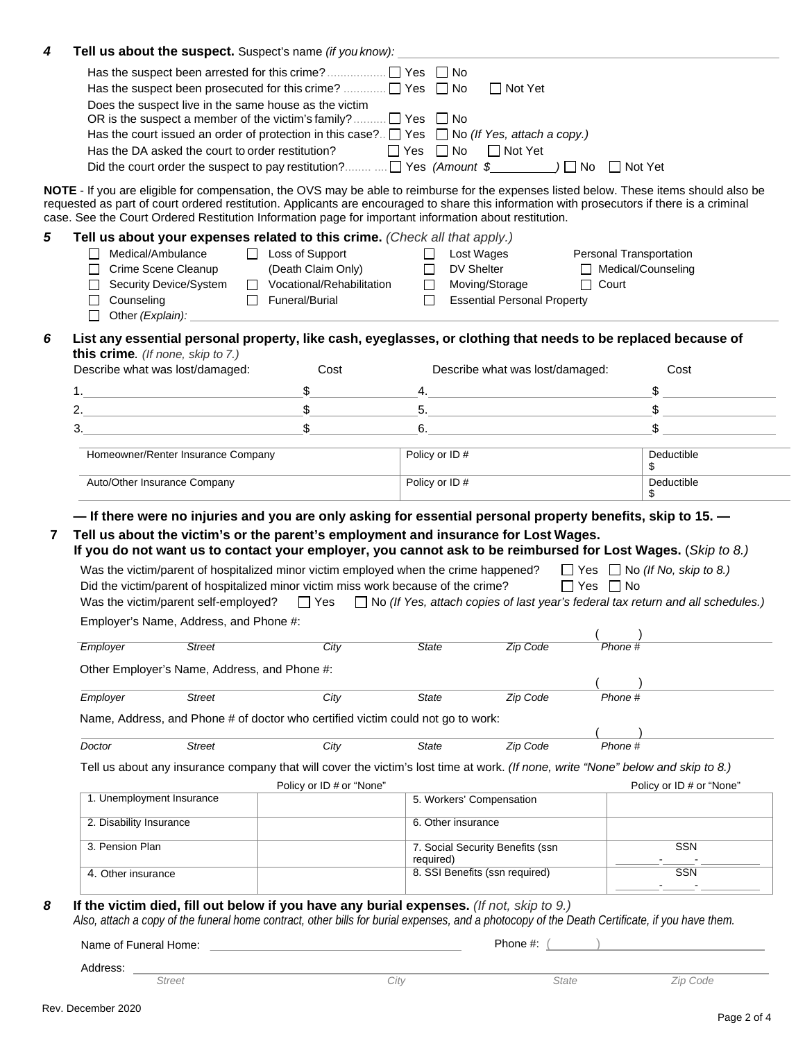| Tell us about the suspect. Suspect's name (if you know): |               |                                                                                                                                                                                                                                                                                                                                                                     |                          |                                    |                         |                          |
|----------------------------------------------------------|---------------|---------------------------------------------------------------------------------------------------------------------------------------------------------------------------------------------------------------------------------------------------------------------------------------------------------------------------------------------------------------------|--------------------------|------------------------------------|-------------------------|--------------------------|
|                                                          |               | Has the suspect been prosecuted for this crime? $\Box$ Yes $\Box$ No                                                                                                                                                                                                                                                                                                |                          | $\Box$ Not Yet                     |                         |                          |
|                                                          |               | Does the suspect live in the same house as the victim                                                                                                                                                                                                                                                                                                               |                          |                                    |                         |                          |
|                                                          |               | OR is the suspect a member of the victim's family? $\Box$ Yes $\Box$ No                                                                                                                                                                                                                                                                                             |                          |                                    |                         |                          |
|                                                          |               | Has the court issued an order of protection in this case? $\Box$ Yes $\Box$ No (If Yes, attach a copy.)                                                                                                                                                                                                                                                             |                          |                                    |                         |                          |
|                                                          |               | Has the DA asked the court to order restitution?                                                                                                                                                                                                                                                                                                                    | $\Box$ Yes $\Box$ No     | $\Box$ Not Yet                     |                         |                          |
|                                                          |               |                                                                                                                                                                                                                                                                                                                                                                     |                          |                                    |                         |                          |
|                                                          |               | NOTE - If you are eligible for compensation, the OVS may be able to reimburse for the expenses listed below. These items should also be<br>requested as part of court ordered restitution. Applicants are encouraged to share this information with prosecutors if there is a criminal                                                                              |                          |                                    |                         |                          |
|                                                          |               | case. See the Court Ordered Restitution Information page for important information about restitution.                                                                                                                                                                                                                                                               |                          |                                    |                         |                          |
|                                                          |               | Tell us about your expenses related to this crime. (Check all that apply.)                                                                                                                                                                                                                                                                                          |                          |                                    |                         |                          |
| Medical/Ambulance                                        |               | $\Box$ Loss of Support                                                                                                                                                                                                                                                                                                                                              | $\Box$                   | Lost Wages                         | Personal Transportation |                          |
| Crime Scene Cleanup<br>ΙI                                |               | (Death Claim Only)                                                                                                                                                                                                                                                                                                                                                  | DV Shelter<br>$\Box$     |                                    | Medical/Counseling      |                          |
| Security Device/System<br>$\perp$<br>$\Box$ Counseling   |               | Vocational/Rehabilitation<br>Funeral/Burial                                                                                                                                                                                                                                                                                                                         | Moving/Storage<br>$\Box$ | <b>Essential Personal Property</b> | $\Box$ Court            |                          |
| $\Box$                                                   |               | Other (Explain): <u>contract the contract of the contract of the contract of the contract of the contract of the contract of the contract of the contract of the contract of the contract of the contract of the contract of the</u>                                                                                                                                |                          |                                    |                         |                          |
|                                                          |               |                                                                                                                                                                                                                                                                                                                                                                     |                          |                                    |                         |                          |
| this crime. (If none, skip to 7.)                        |               | List any essential personal property, like cash, eyeglasses, or clothing that needs to be replaced because of                                                                                                                                                                                                                                                       |                          |                                    |                         |                          |
| Describe what was lost/damaged:                          |               | Cost                                                                                                                                                                                                                                                                                                                                                                |                          | Describe what was lost/damaged:    |                         | Cost                     |
|                                                          |               | 1. $\qquad \qquad \text{S}$                                                                                                                                                                                                                                                                                                                                         |                          | $-4.$                              |                         | \$                       |
|                                                          |               | 2. $\qquad \qquad \qquad \text{S}$                                                                                                                                                                                                                                                                                                                                  |                          |                                    |                         | $\frac{1}{2}$            |
| 3.                                                       |               | $\begin{picture}(20,20) \put(0,0){\vector(1,0){100}} \put(15,0){\vector(1,0){100}} \put(15,0){\vector(1,0){100}} \put(15,0){\vector(1,0){100}} \put(15,0){\vector(1,0){100}} \put(15,0){\vector(1,0){100}} \put(15,0){\vector(1,0){100}} \put(15,0){\vector(1,0){100}} \put(15,0){\vector(1,0){100}} \put(15,0){\vector(1,0){100}} \put(15,0){\vector(1,0){100}} \$ |                          | $6.$ $\overline{\phantom{a}}$      |                         |                          |
|                                                          |               |                                                                                                                                                                                                                                                                                                                                                                     |                          |                                    |                         |                          |
| Homeowner/Renter Insurance Company                       |               |                                                                                                                                                                                                                                                                                                                                                                     | Policy or ID#            |                                    |                         | Deductible<br>\$         |
|                                                          |               |                                                                                                                                                                                                                                                                                                                                                                     |                          |                                    |                         |                          |
| Auto/Other Insurance Company                             |               | - If there were no injuries and you are only asking for essential personal property benefits, skip to 15.<br>Tell us about the victim's or the parent's employment and insurance for Lost Wages.<br>If you do not want us to contact your employer, you cannot ask to be reimbursed for Lost Wages. (Skip to 8.)                                                    | Policy or ID#            |                                    |                         | Deductible<br>\$         |
|                                                          |               | Was the victim/parent of hospitalized minor victim employed when the crime happened? $\Box$ Yes $\Box$ No (If No, skip to 8.)<br>Did the victim/parent of hospitalized minor victim miss work because of the crime?                                                                                                                                                 |                          |                                    | $\Box$ Yes $\Box$ No    |                          |
| Employer's Name, Address, and Phone #:                   |               | Was the victim/parent self-employed? $\Box$ Yes $\Box$ No (If Yes, attach copies of last year's federal tax return and all schedules.)                                                                                                                                                                                                                              |                          |                                    |                         |                          |
| Employer                                                 | <b>Street</b> | City                                                                                                                                                                                                                                                                                                                                                                | State                    | <b>Zip Code</b>                    | Phone #                 |                          |
|                                                          |               |                                                                                                                                                                                                                                                                                                                                                                     |                          |                                    |                         |                          |
| Other Employer's Name, Address, and Phone #:             |               |                                                                                                                                                                                                                                                                                                                                                                     |                          |                                    |                         |                          |
| Employer                                                 | <b>Street</b> | City                                                                                                                                                                                                                                                                                                                                                                | <b>State</b>             | Zip Code                           | Phone #                 |                          |
|                                                          |               | Name, Address, and Phone # of doctor who certified victim could not go to work:                                                                                                                                                                                                                                                                                     |                          |                                    |                         |                          |
|                                                          |               |                                                                                                                                                                                                                                                                                                                                                                     |                          |                                    |                         |                          |
| Doctor                                                   | <b>Street</b> | City                                                                                                                                                                                                                                                                                                                                                                | <b>State</b>             | Zip Code                           | Phone #                 |                          |
|                                                          |               | Tell us about any insurance company that will cover the victim's lost time at work. (If none, write "None" below and skip to 8.)<br>Policy or ID # or "None"                                                                                                                                                                                                        |                          |                                    |                         | Policy or ID # or "None" |
| 1. Unemployment Insurance                                |               |                                                                                                                                                                                                                                                                                                                                                                     | 5. Workers' Compensation |                                    |                         |                          |
| 2. Disability Insurance                                  |               |                                                                                                                                                                                                                                                                                                                                                                     | 6. Other insurance       |                                    |                         |                          |
| 3. Pension Plan                                          |               |                                                                                                                                                                                                                                                                                                                                                                     |                          | 7. Social Security Benefits (ssn   |                         | <b>SSN</b>               |
| 4. Other insurance                                       |               |                                                                                                                                                                                                                                                                                                                                                                     | required)                | 8. SSI Benefits (ssn required)     |                         | <b>SSN</b>               |
|                                                          |               | If the victim died, fill out below if you have any burial expenses. (If not, skip to 9.)                                                                                                                                                                                                                                                                            |                          |                                    |                         |                          |
|                                                          |               | Also, attach a copy of the funeral home contract, other bills for burial expenses, and a photocopy of the Death Certificate, if you have them.                                                                                                                                                                                                                      |                          | Phone #:                           |                         |                          |
| Name of Funeral Home:<br>Address:                        |               |                                                                                                                                                                                                                                                                                                                                                                     |                          |                                    |                         |                          |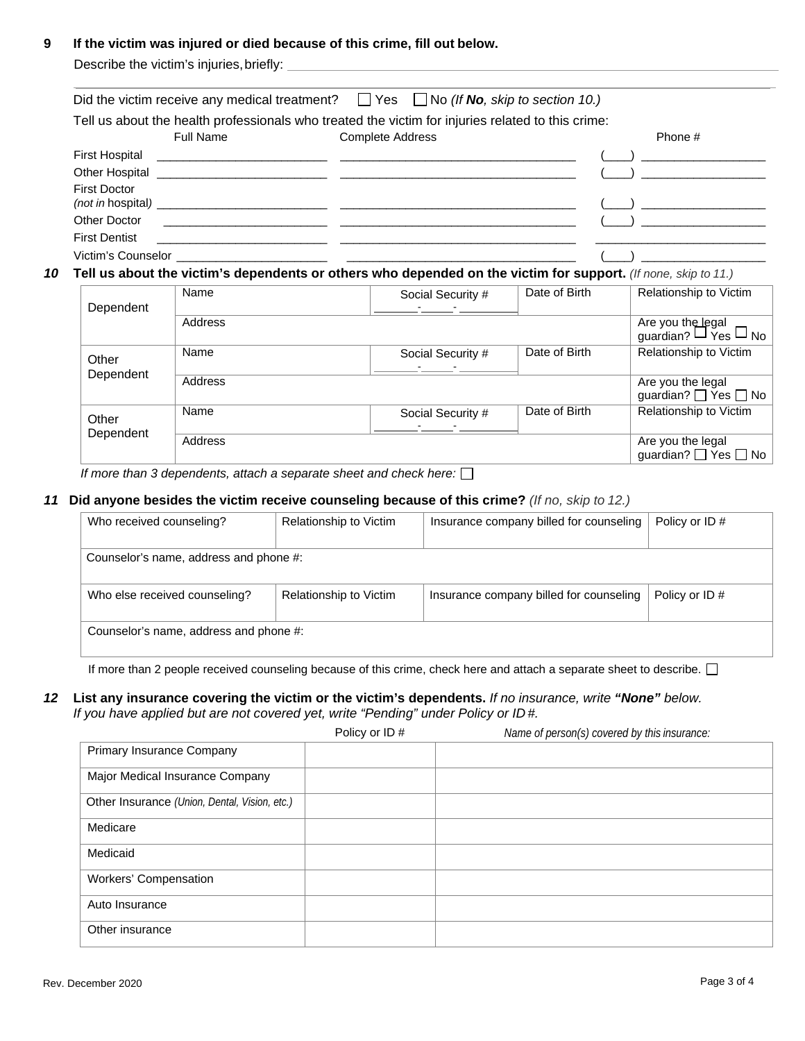#### **9 If the victim was injured or died because of this crime, fill out below.**

Describe the victim's injuries, briefly:

|                     |                  | Did the victim receive any medical treatment? $\Box$ Yes $\Box$ No (If No, skip to section 10.)   |         |
|---------------------|------------------|---------------------------------------------------------------------------------------------------|---------|
|                     |                  | Tell us about the health professionals who treated the victim for injuries related to this crime: |         |
|                     | <b>Full Name</b> | <b>Complete Address</b>                                                                           | Phone # |
|                     |                  |                                                                                                   |         |
|                     |                  |                                                                                                   |         |
| <b>First Doctor</b> |                  |                                                                                                   |         |
|                     |                  |                                                                                                   |         |
|                     |                  |                                                                                                   |         |
|                     |                  |                                                                                                   |         |

#### *10* **Tell us about the victim's dependents or others who depended on the victim for support.** *(If none, skip to 11.)*

| Dependent | Name    | Social Security # | Date of Birth | Relationship to Victim                              |
|-----------|---------|-------------------|---------------|-----------------------------------------------------|
|           | Address |                   |               | Are you the legal<br>guardian? $\Box$ Yes $\Box$ No |
| Other     | Name    | Social Security # | Date of Birth | Relationship to Victim                              |
| Dependent | Address |                   |               | Are you the legal<br>guardian? □ Yes □ No           |
| Other     | Name    | Social Security # | Date of Birth | Relationship to Victim                              |
| Dependent | Address |                   |               | Are you the legal<br>guardian? <sup>V</sup> es D No |

*If more than 3 dependents, attach a separate sheet and check here:*

#### *11* **Did anyone besides the victim receive counseling because of this crime?** *(If no, skip to 12.)*

| Who received counseling?               | Relationship to Victim | Insurance company billed for counseling | Policy or ID# |
|----------------------------------------|------------------------|-----------------------------------------|---------------|
| Counselor's name, address and phone #: |                        |                                         |               |
| Who else received counseling?          | Relationship to Victim | Insurance company billed for counseling | Policy or ID# |
| Counselor's name, address and phone #: |                        |                                         |               |

If more than 2 people received counseling because of this crime, check here and attach a separate sheet to describe.  $\Box$ 

#### *12* **List any insurance covering the victim or the victim's dependents.** *If no insurance, write "None" below.*  If you have applied but are not covered yet, write "Pending" under Policy or ID#.

Policy or ID # *Name of person(s) covered by this insurance:*

| Primary Insurance Company                     |  |  |
|-----------------------------------------------|--|--|
| Major Medical Insurance Company               |  |  |
| Other Insurance (Union, Dental, Vision, etc.) |  |  |
| Medicare                                      |  |  |
| Medicaid                                      |  |  |
| Workers' Compensation                         |  |  |
| Auto Insurance                                |  |  |
| Other insurance                               |  |  |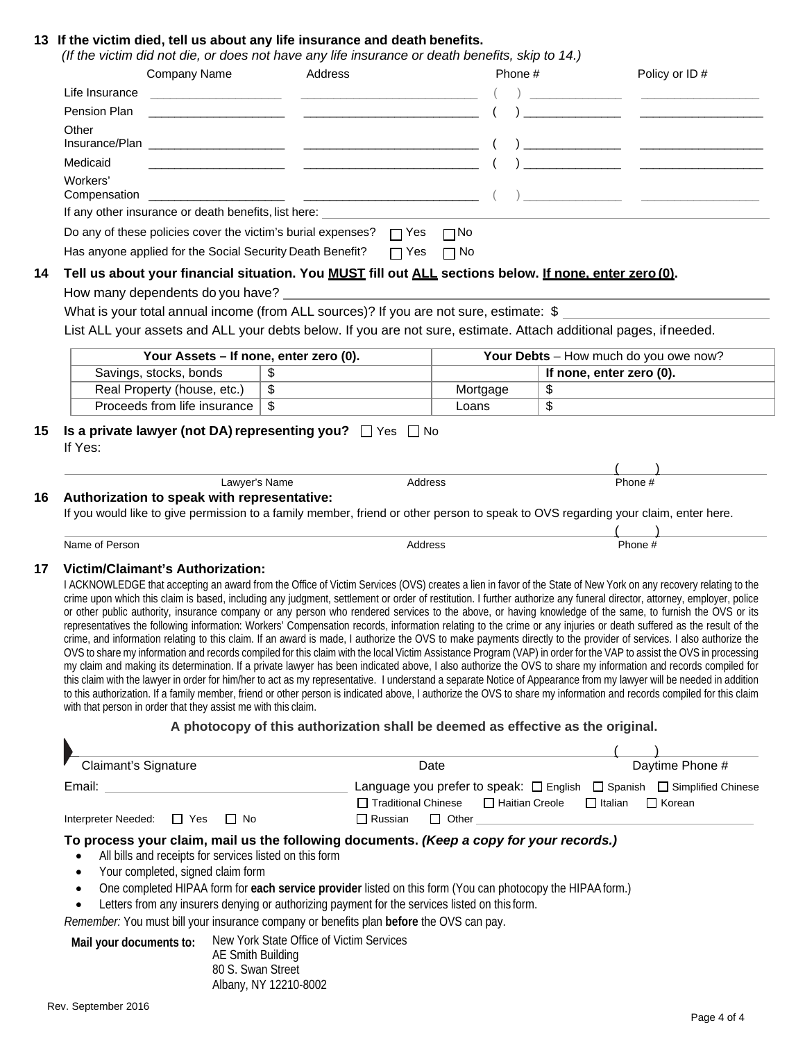#### **13 If the victim died, tell us about any life insurance and death benefits.**

|                | Company Name                                                                                 | Address                                                                                                                                                                                                                                                                                                                                                                                                                                                                                                                                                                                                                                                                                                                                                                                                                                                                                                                                                                                                                                                                                                                                                                                                                                                                                                                                                                                                                                                                                                                                      |                       | Phone #          |                          | Policy or ID#                                                                           |
|----------------|----------------------------------------------------------------------------------------------|----------------------------------------------------------------------------------------------------------------------------------------------------------------------------------------------------------------------------------------------------------------------------------------------------------------------------------------------------------------------------------------------------------------------------------------------------------------------------------------------------------------------------------------------------------------------------------------------------------------------------------------------------------------------------------------------------------------------------------------------------------------------------------------------------------------------------------------------------------------------------------------------------------------------------------------------------------------------------------------------------------------------------------------------------------------------------------------------------------------------------------------------------------------------------------------------------------------------------------------------------------------------------------------------------------------------------------------------------------------------------------------------------------------------------------------------------------------------------------------------------------------------------------------------|-----------------------|------------------|--------------------------|-----------------------------------------------------------------------------------------|
| Life Insurance |                                                                                              | <u> 2000 - Jan James James Jan James James James James James James James James James James James James James Jam</u>                                                                                                                                                                                                                                                                                                                                                                                                                                                                                                                                                                                                                                                                                                                                                                                                                                                                                                                                                                                                                                                                                                                                                                                                                                                                                                                                                                                                                         |                       |                  |                          |                                                                                         |
| Pension Plan   |                                                                                              |                                                                                                                                                                                                                                                                                                                                                                                                                                                                                                                                                                                                                                                                                                                                                                                                                                                                                                                                                                                                                                                                                                                                                                                                                                                                                                                                                                                                                                                                                                                                              |                       |                  |                          |                                                                                         |
| Other          |                                                                                              |                                                                                                                                                                                                                                                                                                                                                                                                                                                                                                                                                                                                                                                                                                                                                                                                                                                                                                                                                                                                                                                                                                                                                                                                                                                                                                                                                                                                                                                                                                                                              |                       |                  |                          |                                                                                         |
| Medicaid       |                                                                                              |                                                                                                                                                                                                                                                                                                                                                                                                                                                                                                                                                                                                                                                                                                                                                                                                                                                                                                                                                                                                                                                                                                                                                                                                                                                                                                                                                                                                                                                                                                                                              |                       |                  |                          |                                                                                         |
| Workers'       |                                                                                              |                                                                                                                                                                                                                                                                                                                                                                                                                                                                                                                                                                                                                                                                                                                                                                                                                                                                                                                                                                                                                                                                                                                                                                                                                                                                                                                                                                                                                                                                                                                                              |                       |                  |                          |                                                                                         |
|                |                                                                                              |                                                                                                                                                                                                                                                                                                                                                                                                                                                                                                                                                                                                                                                                                                                                                                                                                                                                                                                                                                                                                                                                                                                                                                                                                                                                                                                                                                                                                                                                                                                                              |                       |                  |                          |                                                                                         |
|                |                                                                                              | Do any of these policies cover the victim's burial expenses? $\Box$ Yes $\Box$ No                                                                                                                                                                                                                                                                                                                                                                                                                                                                                                                                                                                                                                                                                                                                                                                                                                                                                                                                                                                                                                                                                                                                                                                                                                                                                                                                                                                                                                                            |                       |                  |                          |                                                                                         |
|                |                                                                                              | Has anyone applied for the Social Security Death Benefit?                                                                                                                                                                                                                                                                                                                                                                                                                                                                                                                                                                                                                                                                                                                                                                                                                                                                                                                                                                                                                                                                                                                                                                                                                                                                                                                                                                                                                                                                                    | $\Box$ Yes $\Box$ No  |                  |                          |                                                                                         |
|                |                                                                                              | Tell us about your financial situation. You MUST fill out ALL sections below. If none, enter zero (0).                                                                                                                                                                                                                                                                                                                                                                                                                                                                                                                                                                                                                                                                                                                                                                                                                                                                                                                                                                                                                                                                                                                                                                                                                                                                                                                                                                                                                                       |                       |                  |                          |                                                                                         |
|                |                                                                                              |                                                                                                                                                                                                                                                                                                                                                                                                                                                                                                                                                                                                                                                                                                                                                                                                                                                                                                                                                                                                                                                                                                                                                                                                                                                                                                                                                                                                                                                                                                                                              |                       |                  |                          |                                                                                         |
|                |                                                                                              | What is your total annual income (from ALL sources)? If you are not sure, estimate: \$                                                                                                                                                                                                                                                                                                                                                                                                                                                                                                                                                                                                                                                                                                                                                                                                                                                                                                                                                                                                                                                                                                                                                                                                                                                                                                                                                                                                                                                       |                       |                  |                          |                                                                                         |
|                |                                                                                              | List ALL your assets and ALL your debts below. If you are not sure, estimate. Attach additional pages, if needed.                                                                                                                                                                                                                                                                                                                                                                                                                                                                                                                                                                                                                                                                                                                                                                                                                                                                                                                                                                                                                                                                                                                                                                                                                                                                                                                                                                                                                            |                       |                  |                          |                                                                                         |
|                | Your Assets - If none, enter zero (0).                                                       |                                                                                                                                                                                                                                                                                                                                                                                                                                                                                                                                                                                                                                                                                                                                                                                                                                                                                                                                                                                                                                                                                                                                                                                                                                                                                                                                                                                                                                                                                                                                              |                       |                  |                          | Your Debts - How much do you owe now?                                                   |
|                | Savings, stocks, bonds                                                                       | \$                                                                                                                                                                                                                                                                                                                                                                                                                                                                                                                                                                                                                                                                                                                                                                                                                                                                                                                                                                                                                                                                                                                                                                                                                                                                                                                                                                                                                                                                                                                                           |                       |                  | If none, enter zero (0). |                                                                                         |
|                |                                                                                              |                                                                                                                                                                                                                                                                                                                                                                                                                                                                                                                                                                                                                                                                                                                                                                                                                                                                                                                                                                                                                                                                                                                                                                                                                                                                                                                                                                                                                                                                                                                                              |                       |                  |                          |                                                                                         |
|                | Real Property (house, etc.)                                                                  | $\overline{\$}$                                                                                                                                                                                                                                                                                                                                                                                                                                                                                                                                                                                                                                                                                                                                                                                                                                                                                                                                                                                                                                                                                                                                                                                                                                                                                                                                                                                                                                                                                                                              | Mortgage              | \$               |                          |                                                                                         |
| If Yes:        | Proceeds from life insurance<br>Lawyer's Name<br>Authorization to speak with representative: | $\sqrt[6]{\frac{1}{2}}$<br>Is a private lawyer (not DA) representing you? □ Yes □ No                                                                                                                                                                                                                                                                                                                                                                                                                                                                                                                                                                                                                                                                                                                                                                                                                                                                                                                                                                                                                                                                                                                                                                                                                                                                                                                                                                                                                                                         | Loans<br>Address      | $\overline{\$}$  |                          | Phone #                                                                                 |
|                |                                                                                              | If you would like to give permission to a family member, friend or other person to speak to OVS regarding your claim, enter here.                                                                                                                                                                                                                                                                                                                                                                                                                                                                                                                                                                                                                                                                                                                                                                                                                                                                                                                                                                                                                                                                                                                                                                                                                                                                                                                                                                                                            |                       |                  |                          |                                                                                         |
| Name of Person |                                                                                              |                                                                                                                                                                                                                                                                                                                                                                                                                                                                                                                                                                                                                                                                                                                                                                                                                                                                                                                                                                                                                                                                                                                                                                                                                                                                                                                                                                                                                                                                                                                                              | Address               |                  |                          | Phone #                                                                                 |
|                | <b>Victim/Claimant's Authorization:</b>                                                      |                                                                                                                                                                                                                                                                                                                                                                                                                                                                                                                                                                                                                                                                                                                                                                                                                                                                                                                                                                                                                                                                                                                                                                                                                                                                                                                                                                                                                                                                                                                                              |                       |                  |                          |                                                                                         |
|                | with that person in order that they assist me with this claim.                               | I ACKNOWLEDGE that accepting an award from the Office of Victim Services (OVS) creates a lien in favor of the State of New York on any recovery relating to the<br>crime upon which this claim is based, including any judgment, settlement or order of restitution. I further authorize any funeral director, attorney, employer, police<br>or other public authority, insurance company or any person who rendered services to the above, or having knowledge of the same, to furnish the OVS or its<br>representatives the following information: Workers' Compensation records, information relating to the crime or any injuries or death suffered as the result of the<br>crime, and information relating to this claim. If an award is made, I authorize the OVS to make payments directly to the provider of services. I also authorize the<br>OVS to share my information and records compiled for this claim with the local Victim Assistance Program (VAP) in order for the VAP to assist the OVS in processing<br>my claim and making its determination. If a private lawyer has been indicated above, I also authorize the OVS to share my information and records compiled for<br>this claim with the lawyer in order for him/her to act as my representative. I understand a separate Notice of Appearance from my lawyer will be needed in addition<br>to this authorization. If a family member, friend or other person is indicated above, I authorize the OVS to share my information and records compiled for this claim |                       |                  |                          |                                                                                         |
|                |                                                                                              | A photocopy of this authorization shall be deemed as effective as the original.                                                                                                                                                                                                                                                                                                                                                                                                                                                                                                                                                                                                                                                                                                                                                                                                                                                                                                                                                                                                                                                                                                                                                                                                                                                                                                                                                                                                                                                              |                       |                  |                          |                                                                                         |
|                |                                                                                              |                                                                                                                                                                                                                                                                                                                                                                                                                                                                                                                                                                                                                                                                                                                                                                                                                                                                                                                                                                                                                                                                                                                                                                                                                                                                                                                                                                                                                                                                                                                                              |                       |                  |                          |                                                                                         |
|                | Claimant's Signature                                                                         |                                                                                                                                                                                                                                                                                                                                                                                                                                                                                                                                                                                                                                                                                                                                                                                                                                                                                                                                                                                                                                                                                                                                                                                                                                                                                                                                                                                                                                                                                                                                              | Date                  |                  |                          | Daytime Phone #                                                                         |
|                | Email: <u>Communication of the Communication of the Communication</u>                        |                                                                                                                                                                                                                                                                                                                                                                                                                                                                                                                                                                                                                                                                                                                                                                                                                                                                                                                                                                                                                                                                                                                                                                                                                                                                                                                                                                                                                                                                                                                                              | □ Traditional Chinese | □ Haitian Creole | $\Box$ Italian           | Language you prefer to speak: □ English □ Spanish □ Simplified Chinese<br>$\Box$ Korean |

- One completed HIPAA form for **each service provider** listed on this form (You can photocopy the HIPAAform.)
- Letters from any insurers denying or authorizing payment for the services listed on this form.

*Remember:* You must bill your insurance company or benefits plan **before** the OVS can pay.

**Mail your documents to:** New York State Office of Victim Services

AE Smith Building 80 S. Swan Street Albany, NY 12210-8002